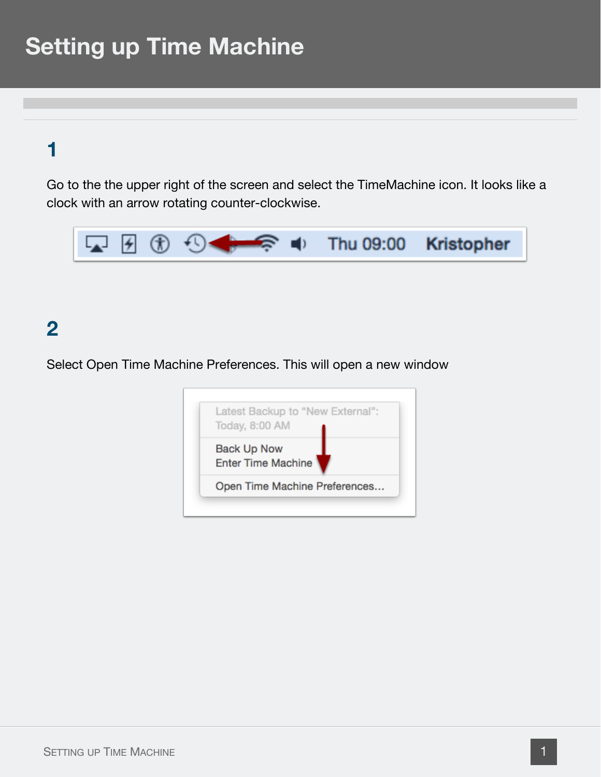### **1**

Go to the the upper right of the screen and select the TimeMachine icon. It looks like a clock with an arrow rotating counter-clockwise.



### **2**

Select Open Time Machine Preferences. This will open a new window

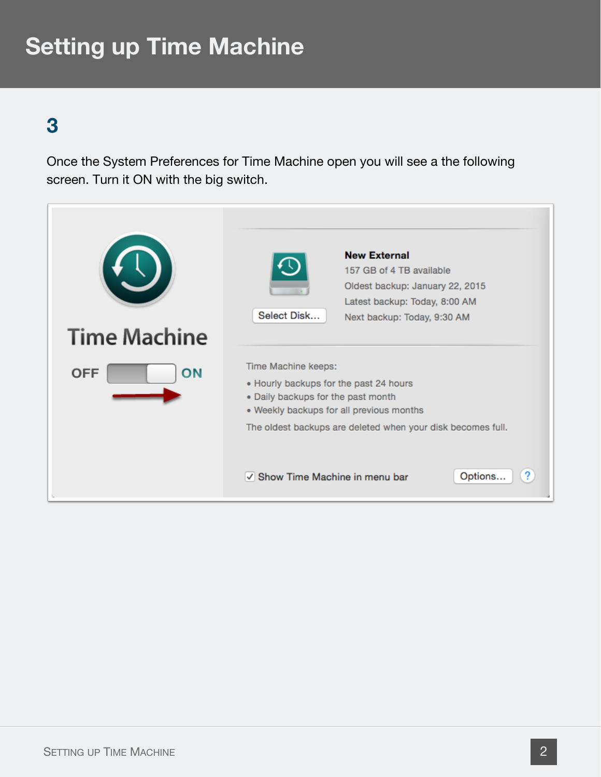## **3**

Once the System Preferences for Time Machine open you will see a the following screen. Turn it ON with the big switch.

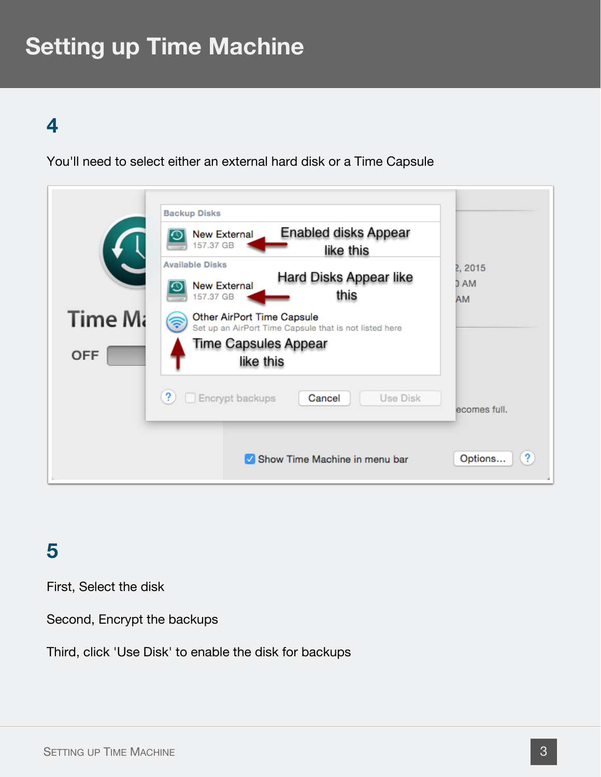#### **4**

You'll need to select either an external hard disk or a Time Capsule



#### **5**

First, Select the disk

Second, Encrypt the backups

Third, click 'Use Disk' to enable the disk for backups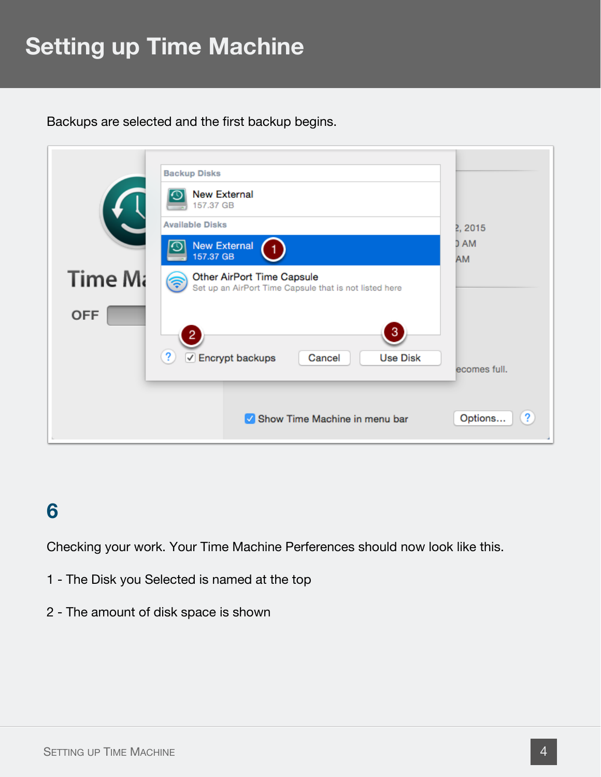Backups are selected and the first backup begins.



## **6**

Checking your work. Your Time Machine Perferences should now look like this.

- 1 The Disk you Selected is named at the top
- 2 The amount of disk space is shown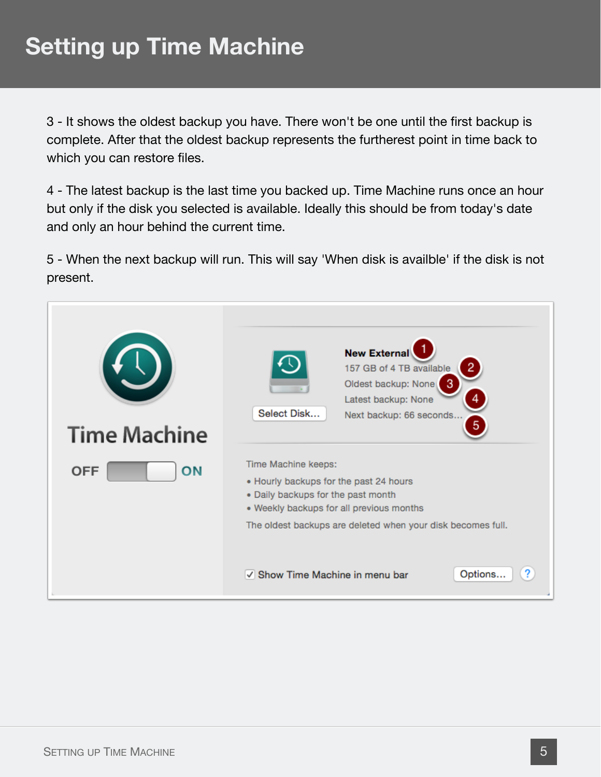3 - It shows the oldest backup you have. There won't be one until the first backup is complete. After that the oldest backup represents the furtherest point in time back to which you can restore files.

4 - The latest backup is the last time you backed up. Time Machine runs once an hour but only if the disk you selected is available. Ideally this should be from today's date and only an hour behind the current time.

5 - When the next backup will run. This will say 'When disk is availble' if the disk is not present.